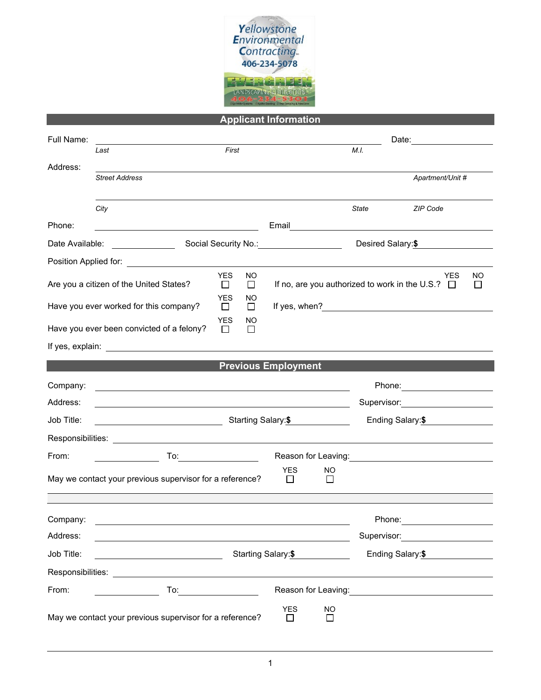

**Applicant Information**

| Full Name:                                                                         |                                                                                                                       |                                                                                  |                                                                                                                                                                                                                                                                                           | Date:                                                               |                                                                                                                                                                                                                                                |  |  |  |
|------------------------------------------------------------------------------------|-----------------------------------------------------------------------------------------------------------------------|----------------------------------------------------------------------------------|-------------------------------------------------------------------------------------------------------------------------------------------------------------------------------------------------------------------------------------------------------------------------------------------|---------------------------------------------------------------------|------------------------------------------------------------------------------------------------------------------------------------------------------------------------------------------------------------------------------------------------|--|--|--|
|                                                                                    | First<br>Last                                                                                                         |                                                                                  |                                                                                                                                                                                                                                                                                           | M.I.                                                                |                                                                                                                                                                                                                                                |  |  |  |
| Address:                                                                           | <b>Street Address</b>                                                                                                 |                                                                                  |                                                                                                                                                                                                                                                                                           |                                                                     | Apartment/Unit #                                                                                                                                                                                                                               |  |  |  |
|                                                                                    |                                                                                                                       |                                                                                  |                                                                                                                                                                                                                                                                                           |                                                                     |                                                                                                                                                                                                                                                |  |  |  |
|                                                                                    | City                                                                                                                  |                                                                                  |                                                                                                                                                                                                                                                                                           | State                                                               | ZIP Code                                                                                                                                                                                                                                       |  |  |  |
| Phone:                                                                             |                                                                                                                       |                                                                                  | Email <u>___________________________________</u>                                                                                                                                                                                                                                          |                                                                     |                                                                                                                                                                                                                                                |  |  |  |
| Date Available: <u>________________</u>                                            |                                                                                                                       |                                                                                  | Social Security No.: <u>______________________</u><br>Desired Salary:\$                                                                                                                                                                                                                   |                                                                     |                                                                                                                                                                                                                                                |  |  |  |
|                                                                                    | Position Applied for: <b>Example 20</b>                                                                               |                                                                                  |                                                                                                                                                                                                                                                                                           |                                                                     |                                                                                                                                                                                                                                                |  |  |  |
| <b>YES</b><br>NO.<br>Are you a citizen of the United States?<br>$\perp$<br>$\perp$ |                                                                                                                       |                                                                                  |                                                                                                                                                                                                                                                                                           | YES<br>NO.<br>If no, are you authorized to work in the U.S.? $\Box$ |                                                                                                                                                                                                                                                |  |  |  |
| <b>YES</b><br>NO<br>Have you ever worked for this company?<br>$\perp$<br>$\perp$   |                                                                                                                       |                                                                                  | If yes, when? $\frac{1}{2}$ and $\frac{1}{2}$ and $\frac{1}{2}$ and $\frac{1}{2}$ and $\frac{1}{2}$ and $\frac{1}{2}$ and $\frac{1}{2}$ and $\frac{1}{2}$ and $\frac{1}{2}$ and $\frac{1}{2}$ and $\frac{1}{2}$ and $\frac{1}{2}$ and $\frac{1}{2}$ and $\frac{1}{2}$ and $\frac{1}{2}$ a |                                                                     |                                                                                                                                                                                                                                                |  |  |  |
|                                                                                    | Have you ever been convicted of a felony?                                                                             | <b>YES</b><br>NO.<br>$\Box$<br>$\perp$                                           |                                                                                                                                                                                                                                                                                           |                                                                     |                                                                                                                                                                                                                                                |  |  |  |
|                                                                                    |                                                                                                                       |                                                                                  |                                                                                                                                                                                                                                                                                           |                                                                     |                                                                                                                                                                                                                                                |  |  |  |
|                                                                                    |                                                                                                                       | <b>Previous Employment</b>                                                       |                                                                                                                                                                                                                                                                                           |                                                                     |                                                                                                                                                                                                                                                |  |  |  |
| Company:                                                                           | <u> 1989 - Johann Barn, mars ann an t-Amhainn an t-Amhainn an t-Amhainn an t-Amhainn an t-Amhainn an t-Amhainn an</u> |                                                                                  |                                                                                                                                                                                                                                                                                           |                                                                     | Phone: __________________                                                                                                                                                                                                                      |  |  |  |
| Address:                                                                           | <u> 1989 - Jan Salaman Salaman (j. 1989)</u>                                                                          |                                                                                  |                                                                                                                                                                                                                                                                                           |                                                                     | Supervisor: Supervisor:                                                                                                                                                                                                                        |  |  |  |
| Job Title:                                                                         |                                                                                                                       | Starting Salary:\$                                                               |                                                                                                                                                                                                                                                                                           |                                                                     |                                                                                                                                                                                                                                                |  |  |  |
|                                                                                    |                                                                                                                       |                                                                                  |                                                                                                                                                                                                                                                                                           |                                                                     |                                                                                                                                                                                                                                                |  |  |  |
| From:                                                                              |                                                                                                                       |                                                                                  |                                                                                                                                                                                                                                                                                           |                                                                     |                                                                                                                                                                                                                                                |  |  |  |
|                                                                                    | May we contact your previous supervisor for a reference?                                                              |                                                                                  | <b>YES</b><br>NO<br>$\perp$<br>$\Box$                                                                                                                                                                                                                                                     |                                                                     |                                                                                                                                                                                                                                                |  |  |  |
| Company:                                                                           |                                                                                                                       |                                                                                  |                                                                                                                                                                                                                                                                                           | Phone:                                                              |                                                                                                                                                                                                                                                |  |  |  |
| Address:                                                                           |                                                                                                                       |                                                                                  |                                                                                                                                                                                                                                                                                           | Supervisor:                                                         |                                                                                                                                                                                                                                                |  |  |  |
| Job Title:                                                                         |                                                                                                                       | Starting Salary:\$                                                               |                                                                                                                                                                                                                                                                                           |                                                                     |                                                                                                                                                                                                                                                |  |  |  |
|                                                                                    |                                                                                                                       |                                                                                  |                                                                                                                                                                                                                                                                                           |                                                                     | Ending Salary:\$                                                                                                                                                                                                                               |  |  |  |
| From:                                                                              |                                                                                                                       | $To: \begin{tabular}{c} \quad \quad \quad & \quad \quad \\ \hline \end{tabular}$ |                                                                                                                                                                                                                                                                                           |                                                                     | Reason for Leaving:<br>Notation of the leaving:<br>Notation of the leaving:<br>Notation of the leaving:<br>Notation of the leaving:<br>Notation of the leaving:<br>Notation of the leaving:<br>Notation of the leaving:<br>Notation of the lea |  |  |  |
|                                                                                    | May we contact your previous supervisor for a reference?                                                              |                                                                                  | <b>YES</b><br><b>NO</b><br>П<br>$\Box$                                                                                                                                                                                                                                                    |                                                                     |                                                                                                                                                                                                                                                |  |  |  |